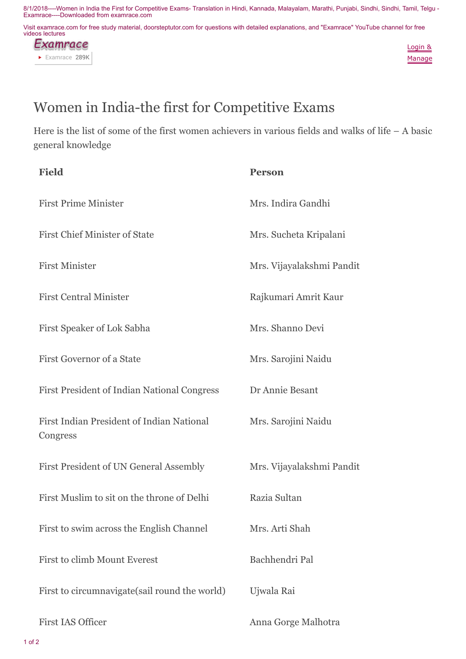8/1/2018----Women in India the First for Competitive Exams- Translation in Hindi, Kannada, Malayalam, Marathi, Punjabi, Sindhi, Sindhi, Tamil, Telgu - Examrace----Downloaded from examrace.com

Visit examrace.com for free study material, doorsteptutor.com for questions with detailed explanations, and "Examrace" YouTube channel for free videos lectures





## Women in India-the first for Competitive Exams

Here is the list of some of the first women achievers in various fields and walks of life – A basic general knowledge

| <b>Field</b>                                          | <b>Person</b>             |
|-------------------------------------------------------|---------------------------|
| <b>First Prime Minister</b>                           | Mrs. Indira Gandhi        |
| <b>First Chief Minister of State</b>                  | Mrs. Sucheta Kripalani    |
| <b>First Minister</b>                                 | Mrs. Vijayalakshmi Pandit |
| <b>First Central Minister</b>                         | Rajkumari Amrit Kaur      |
| First Speaker of Lok Sabha                            | Mrs. Shanno Devi          |
| First Governor of a State                             | Mrs. Sarojini Naidu       |
| <b>First President of Indian National Congress</b>    | Dr Annie Besant           |
| First Indian President of Indian National<br>Congress | Mrs. Sarojini Naidu       |
| First President of UN General Assembly                | Mrs. Vijayalakshmi Pandit |
| First Muslim to sit on the throne of Delhi            | Razia Sultan              |
| First to swim across the English Channel              | Mrs. Arti Shah            |
| <b>First to climb Mount Everest</b>                   | Bachhendri Pal            |
| First to circumnavigate (sail round the world)        | Ujwala Rai                |
| <b>First IAS Officer</b>                              | Anna Gorge Malhotra       |